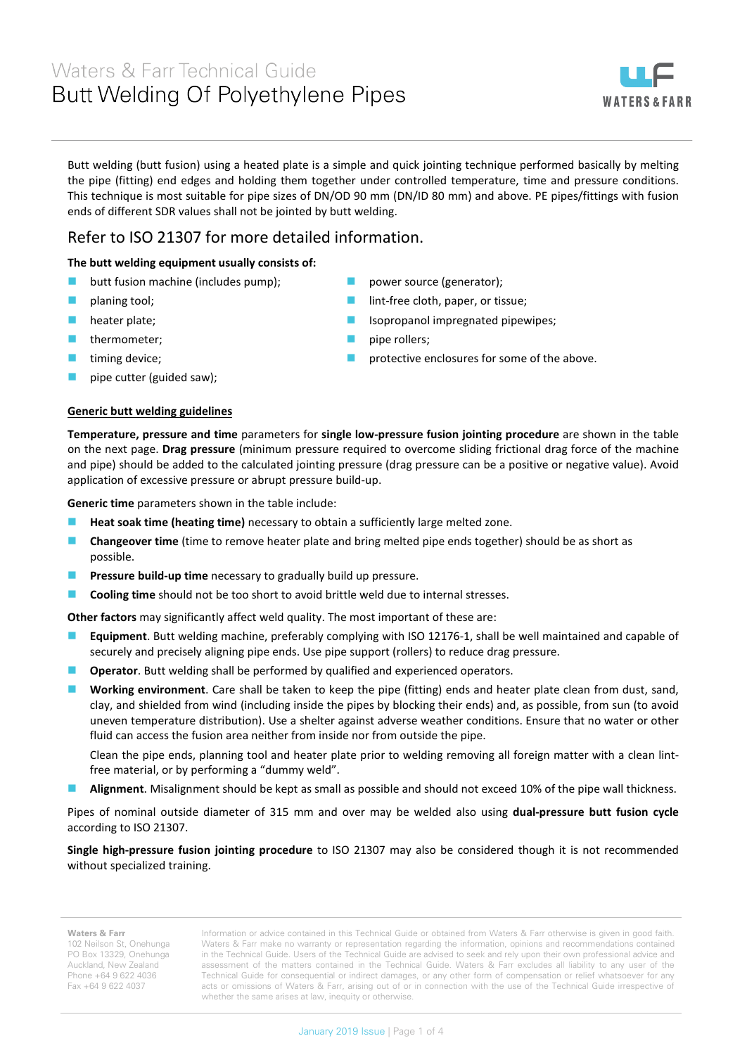# Waters & Farr Technical Guide Butt Welding Of Polyethylene Pipes



Butt welding (butt fusion) using a heated plate is a simple and quick jointing technique performed basically by melting the pipe (fitting) end edges and holding them together under controlled temperature, time and pressure conditions. This technique is most suitable for pipe sizes of DN/OD 90 mm (DN/ID 80 mm) and above. PE pipes/fittings with fusion ends of different SDR values shall not be jointed by butt welding.

## Refer to ISO 21307 for more detailed information.

### **The butt welding equipment usually consists of:**

- **butt fusion machine (includes pump);**
- planing tool;
- heater plate;
- thermometer;
- timing device;
- pipe cutter (guided saw);
- power source (generator); lint-free cloth, paper, or tissue;
- Isopropanol impregnated pipewipes;
- pipe rollers;
- protective enclosures for some of the above.

#### **Generic butt welding guidelines**

**Temperature, pressure and time** parameters for **single low-pressure fusion jointing procedure** are shown in the table on the next page. **Drag pressure** (minimum pressure required to overcome sliding frictional drag force of the machine and pipe) should be added to the calculated jointing pressure (drag pressure can be a positive or negative value). Avoid application of excessive pressure or abrupt pressure build-up.

**Generic time** parameters shown in the table include:

- **Heat soak time (heating time)** necessary to obtain a sufficiently large melted zone.
- **Changeover time** (time to remove heater plate and bring melted pipe ends together) should be as short as possible.
- **Pressure build-up time** necessary to gradually build up pressure.
- **Cooling time** should not be too short to avoid brittle weld due to internal stresses.

**Other factors** may significantly affect weld quality. The most important of these are:

- **Equipment**. Butt welding machine, preferably complying with ISO 12176-1, shall be well maintained and capable of securely and precisely aligning pipe ends. Use pipe support (rollers) to reduce drag pressure.
- **Operator**. Butt welding shall be performed by qualified and experienced operators.
- **Working environment**. Care shall be taken to keep the pipe (fitting) ends and heater plate clean from dust, sand, clay, and shielded from wind (including inside the pipes by blocking their ends) and, as possible, from sun (to avoid uneven temperature distribution). Use a shelter against adverse weather conditions. Ensure that no water or other fluid can access the fusion area neither from inside nor from outside the pipe.

Clean the pipe ends, planning tool and heater plate prior to welding removing all foreign matter with a clean lintfree material, or by performing a "dummy weld".

**Alignment**. Misalignment should be kept as small as possible and should not exceed 10% of the pipe wall thickness.

Pipes of nominal outside diameter of 315 mm and over may be welded also using **dual-pressure butt fusion cycle**  according to ISO 21307.

**Single high-pressure fusion jointing procedure** to ISO 21307 may also be considered though it is not recommended without specialized training.

#### **Waters & Farr**

102 Neilson St, Onehunga PO Box 13329, Onehunga Auckland, New Zealand Phone +64 9 622 4036 Fax +64 9 622 4037

Information or advice contained in this Technical Guide or obtained from Waters & Farr otherwise is given in good faith. Waters & Farr make no warranty or representation regarding the information, opinions and recommendations contained in the Technical Guide. Users of the Technical Guide are advised to seek and rely upon their own professional advice and assessment of the matters contained in the Technical Guide. Waters & Farr excludes all liability to any user of the Technical Guide for consequential or indirect damages, or any other form of compensation or relief whatsoever for any acts or omissions of Waters & Farr, arising out of or in connection with the use of the Technical Guide irrespective of whether the same arises at law, inequity or otherwise.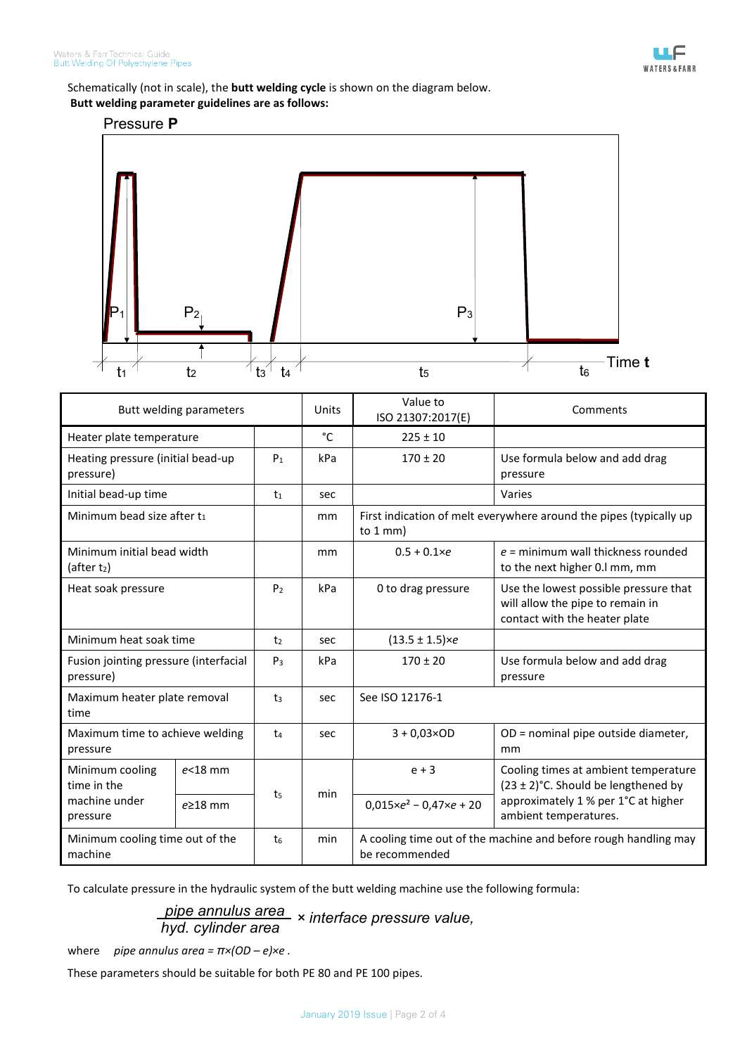

Schematically (not in scale), the **butt welding cycle** is shown on the diagram below.

## **Butt welding parameter guidelines are as follows:**



| Butt welding parameters                                     |                |                | Units        | Value to<br>ISO 21307:2017(E)                                                             | Comments                                                                                                                                         |
|-------------------------------------------------------------|----------------|----------------|--------------|-------------------------------------------------------------------------------------------|--------------------------------------------------------------------------------------------------------------------------------------------------|
| Heater plate temperature                                    |                |                | $^{\circ}$ C | $225 \pm 10$                                                                              |                                                                                                                                                  |
| Heating pressure (initial bead-up<br>pressure)              |                | P <sub>1</sub> | kPa          | $170 \pm 20$                                                                              | Use formula below and add drag<br>pressure                                                                                                       |
| Initial bead-up time                                        |                | t <sub>1</sub> | sec          |                                                                                           | Varies                                                                                                                                           |
| Minimum bead size after t <sub>1</sub>                      |                |                | mm           | First indication of melt everywhere around the pipes (typically up<br>to $1 \text{ mm}$ ) |                                                                                                                                                  |
| Minimum initial bead width<br>(after t2)                    |                |                | mm           | $0.5 + 0.1 \times e$                                                                      | $e$ = minimum wall thickness rounded<br>to the next higher 0.1 mm, mm                                                                            |
| Heat soak pressure                                          |                | P <sub>2</sub> | kPa          | 0 to drag pressure                                                                        | Use the lowest possible pressure that<br>will allow the pipe to remain in<br>contact with the heater plate                                       |
| Minimum heat soak time                                      |                | t <sub>2</sub> | sec          | $(13.5 \pm 1.5) \times e$                                                                 |                                                                                                                                                  |
| Fusion jointing pressure (interfacial<br>pressure)          |                | $P_3$          | kPa          | $170 \pm 20$                                                                              | Use formula below and add drag<br>pressure                                                                                                       |
| Maximum heater plate removal<br>time                        |                | t <sub>3</sub> | sec          | See ISO 12176-1                                                                           |                                                                                                                                                  |
| Maximum time to achieve welding<br>pressure                 |                | t <sub>4</sub> | sec          | $3 + 0.03 \times OD$                                                                      | OD = nominal pipe outside diameter,<br>mm                                                                                                        |
| Minimum cooling<br>time in the<br>machine under<br>pressure | $e<$ 18 mm     | t <sub>5</sub> | min          | $e + 3$                                                                                   | Cooling times at ambient temperature<br>$(23 \pm 2)$ °C. Should be lengthened by<br>approximately 1 % per 1°C at higher<br>ambient temperatures. |
|                                                             | $e \geq 18$ mm |                |              | $0.015 \times e^2 - 0.47 \times e + 20$                                                   |                                                                                                                                                  |
| Minimum cooling time out of the<br>machine                  |                | t <sub>6</sub> | min          | A cooling time out of the machine and before rough handling may<br>be recommended         |                                                                                                                                                  |

To calculate pressure in the hydraulic system of the butt welding machine use the following formula:

*pipe annulus area hyd. cylinder area × interface pressure value,*

where *pipe annulus area = π×(OD – e)×e .*

These parameters should be suitable for both PE 80 and PE 100 pipes.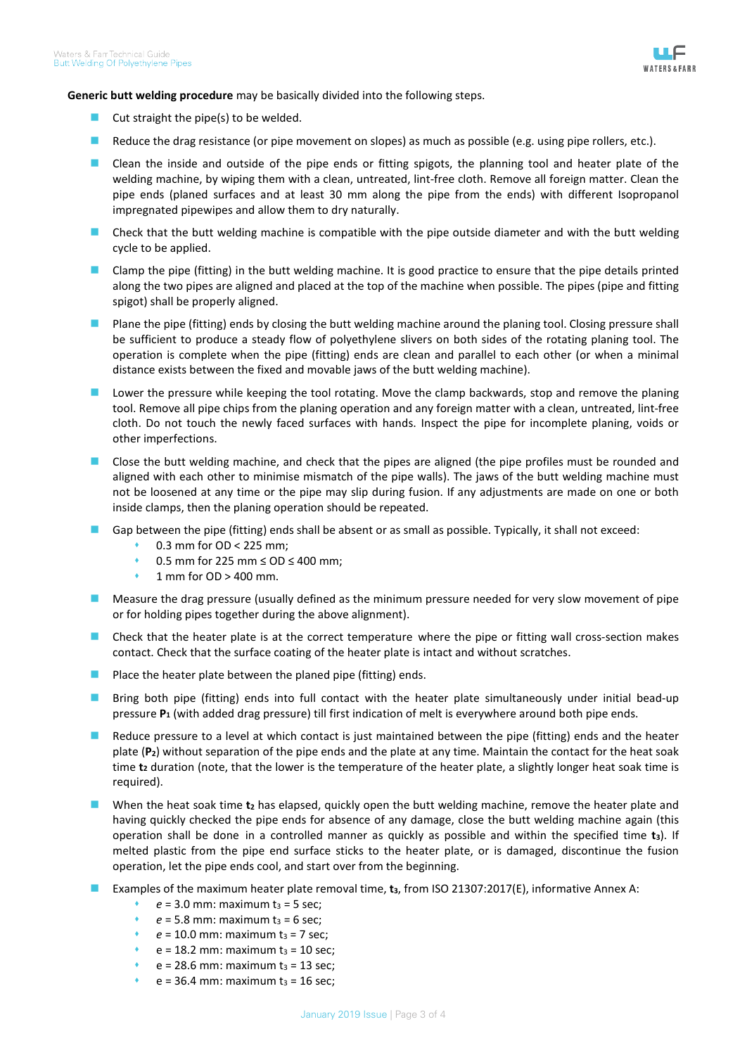

**Generic butt welding procedure** may be basically divided into the following steps.

- $\Box$  Cut straight the pipe(s) to be welded.
- Reduce the drag resistance (or pipe movement on slopes) as much as possible (e.g. using pipe rollers, etc.).
- **EXTE:** Clean the inside and outside of the pipe ends or fitting spigots, the planning tool and heater plate of the welding machine, by wiping them with a clean, untreated, lint-free cloth. Remove all foreign matter. Clean the pipe ends (planed surfaces and at least 30 mm along the pipe from the ends) with different Isopropanol impregnated pipewipes and allow them to dry naturally.
- **Check that the butt welding machine is compatible with the pipe outside diameter and with the butt welding** cycle to be applied.
- Clamp the pipe (fitting) in the butt welding machine. It is good practice to ensure that the pipe details printed along the two pipes are aligned and placed at the top of the machine when possible. The pipes (pipe and fitting spigot) shall be properly aligned.
- **Plane the pipe (fitting) ends by closing the butt welding machine around the planing tool. Closing pressure shall** be sufficient to produce a steady flow of polyethylene slivers on both sides of the rotating planing tool. The operation is complete when the pipe (fitting) ends are clean and parallel to each other (or when a minimal distance exists between the fixed and movable jaws of the butt welding machine).
- Lower the pressure while keeping the tool rotating. Move the clamp backwards, stop and remove the planing tool. Remove all pipe chips from the planing operation and any foreign matter with a clean, untreated, lint-free cloth. Do not touch the newly faced surfaces with hands. Inspect the pipe for incomplete planing, voids or other imperfections.
- **Close the butt welding machine, and check that the pipes are aligned (the pipe profiles must be rounded and** aligned with each other to minimise mismatch of the pipe walls). The jaws of the butt welding machine must not be loosened at any time or the pipe may slip during fusion. If any adjustments are made on one or both inside clamps, then the planing operation should be repeated.
- Gap between the pipe (fitting) ends shall be absent or as small as possible. Typically, it shall not exceed:
	- 0.3 mm for OD < 225 mm;
	- 0.5 mm for 225 mm ≤ OD ≤ 400 mm;
	- 1 mm for OD > 400 mm.
- **Measure the drag pressure (usually defined as the minimum pressure needed for very slow movement of pipe** or for holding pipes together during the above alignment).
- **Check that the heater plate is at the correct temperature where the pipe or fitting wall cross-section makes** contact. Check that the surface coating of the heater plate is intact and without scratches.
- **Place the heater plate between the planed pipe (fitting) ends.**
- **Bring both pipe (fitting) ends into full contact with the heater plate simultaneously under initial bead-up** pressure **P**<sub>1</sub> (with added drag pressure) till first indication of melt is everywhere around both pipe ends.
- Reduce pressure to a level at which contact is just maintained between the pipe (fitting) ends and the heater plate (**P2**) without separation of the pipe ends and the plate at any time. Maintain the contact for the heat soak time **t**<sub>2</sub> duration (note, that the lower is the temperature of the heater plate, a slightly longer heat soak time is required).
- When the heat soak time **t**<sub>2</sub> has elapsed, quickly open the butt welding machine, remove the heater plate and having quickly checked the pipe ends for absence of any damage, close the butt welding machine again (this operation shall be done in a controlled manner as quickly as possible and within the specified time **t3**). If melted plastic from the pipe end surface sticks to the heater plate, or is damaged, discontinue the fusion operation, let the pipe ends cool, and start over from the beginning.
- Examples of the maximum heater plate removal time, **t**<sub>3</sub>, from ISO 21307:2017(E), informative Annex A:
	- $e = 3.0$  mm: maximum  $t_3 = 5$  sec;
	- $e = 5.8$  mm: maximum  $t_3 = 6$  sec;
	- $e = 10.0$  mm: maximum  $t_3 = 7$  sec;
	- $e = 18.2$  mm: maximum  $t_3 = 10$  sec;
	- $e = 28.6$  mm: maximum  $t_3 = 13$  sec;
	- $e = 36.4$  mm: maximum  $t_3 = 16$  sec;